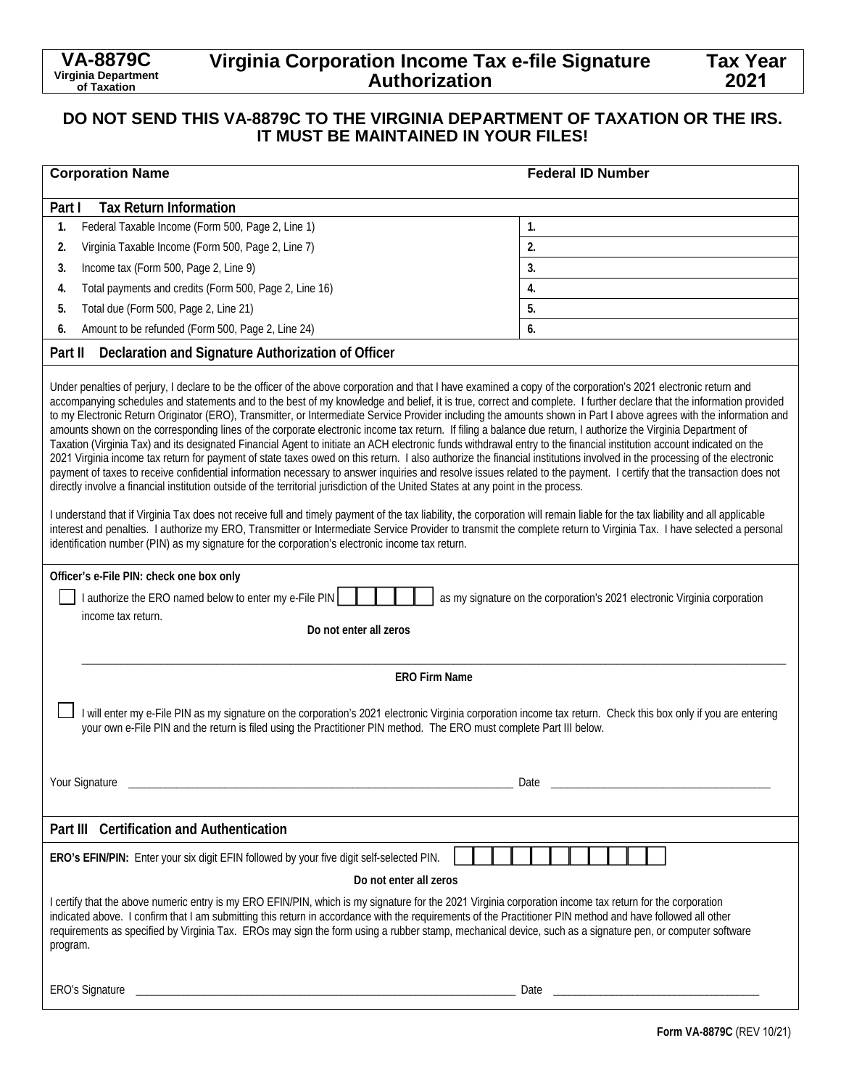# **Virginia Corporation Income Tax e-file Signature Authorization**

## **DO NOT SEND THIS VA-8879C TO THE VIRGINIA DEPARTMENT OF TAXATION OR THE IRS. IT MUST BE MAINTAINED IN YOUR FILES!**

| <b>Corporation Name</b>                                                                                                                                                                                                                                                                                                                                                                                                                                                                                                                                                                                                                                                                                                                                                                                                                                                                                                                                                                                                                                                                                                                                                                                                                                                                                                                                                                                                                                                                                                                                                                                                                                                                                                                                                                                                                                                                                                                                                                                                                            | <b>Federal ID Number</b> |  |
|----------------------------------------------------------------------------------------------------------------------------------------------------------------------------------------------------------------------------------------------------------------------------------------------------------------------------------------------------------------------------------------------------------------------------------------------------------------------------------------------------------------------------------------------------------------------------------------------------------------------------------------------------------------------------------------------------------------------------------------------------------------------------------------------------------------------------------------------------------------------------------------------------------------------------------------------------------------------------------------------------------------------------------------------------------------------------------------------------------------------------------------------------------------------------------------------------------------------------------------------------------------------------------------------------------------------------------------------------------------------------------------------------------------------------------------------------------------------------------------------------------------------------------------------------------------------------------------------------------------------------------------------------------------------------------------------------------------------------------------------------------------------------------------------------------------------------------------------------------------------------------------------------------------------------------------------------------------------------------------------------------------------------------------------------|--------------------------|--|
| <b>Tax Return Information</b><br>Part I                                                                                                                                                                                                                                                                                                                                                                                                                                                                                                                                                                                                                                                                                                                                                                                                                                                                                                                                                                                                                                                                                                                                                                                                                                                                                                                                                                                                                                                                                                                                                                                                                                                                                                                                                                                                                                                                                                                                                                                                            |                          |  |
| Federal Taxable Income (Form 500, Page 2, Line 1)<br>1.                                                                                                                                                                                                                                                                                                                                                                                                                                                                                                                                                                                                                                                                                                                                                                                                                                                                                                                                                                                                                                                                                                                                                                                                                                                                                                                                                                                                                                                                                                                                                                                                                                                                                                                                                                                                                                                                                                                                                                                            | 1.                       |  |
| Virginia Taxable Income (Form 500, Page 2, Line 7)<br>2.                                                                                                                                                                                                                                                                                                                                                                                                                                                                                                                                                                                                                                                                                                                                                                                                                                                                                                                                                                                                                                                                                                                                                                                                                                                                                                                                                                                                                                                                                                                                                                                                                                                                                                                                                                                                                                                                                                                                                                                           | 2.                       |  |
| Income tax (Form 500, Page 2, Line 9)<br>3.                                                                                                                                                                                                                                                                                                                                                                                                                                                                                                                                                                                                                                                                                                                                                                                                                                                                                                                                                                                                                                                                                                                                                                                                                                                                                                                                                                                                                                                                                                                                                                                                                                                                                                                                                                                                                                                                                                                                                                                                        | 3.                       |  |
| Total payments and credits (Form 500, Page 2, Line 16)<br>4.                                                                                                                                                                                                                                                                                                                                                                                                                                                                                                                                                                                                                                                                                                                                                                                                                                                                                                                                                                                                                                                                                                                                                                                                                                                                                                                                                                                                                                                                                                                                                                                                                                                                                                                                                                                                                                                                                                                                                                                       | 4.                       |  |
| Total due (Form 500, Page 2, Line 21)<br>5.                                                                                                                                                                                                                                                                                                                                                                                                                                                                                                                                                                                                                                                                                                                                                                                                                                                                                                                                                                                                                                                                                                                                                                                                                                                                                                                                                                                                                                                                                                                                                                                                                                                                                                                                                                                                                                                                                                                                                                                                        | 5.                       |  |
| Amount to be refunded (Form 500, Page 2, Line 24)<br>6.                                                                                                                                                                                                                                                                                                                                                                                                                                                                                                                                                                                                                                                                                                                                                                                                                                                                                                                                                                                                                                                                                                                                                                                                                                                                                                                                                                                                                                                                                                                                                                                                                                                                                                                                                                                                                                                                                                                                                                                            | 6.                       |  |
| Declaration and Signature Authorization of Officer<br>Part II                                                                                                                                                                                                                                                                                                                                                                                                                                                                                                                                                                                                                                                                                                                                                                                                                                                                                                                                                                                                                                                                                                                                                                                                                                                                                                                                                                                                                                                                                                                                                                                                                                                                                                                                                                                                                                                                                                                                                                                      |                          |  |
| Under penalties of perjury, I declare to be the officer of the above corporation and that I have examined a copy of the corporation's 2021 electronic return and<br>accompanying schedules and statements and to the best of my knowledge and belief, it is true, correct and complete. I further declare that the information provided<br>to my Electronic Return Originator (ERO), Transmitter, or Intermediate Service Provider including the amounts shown in Part I above agrees with the information and<br>amounts shown on the corresponding lines of the corporate electronic income tax return. If filing a balance due return, I authorize the Virginia Department of<br>Taxation (Virginia Tax) and its designated Financial Agent to initiate an ACH electronic funds withdrawal entry to the financial institution account indicated on the<br>2021 Virginia income tax return for payment of state taxes owed on this return. I also authorize the financial institutions involved in the processing of the electronic<br>payment of taxes to receive confidential information necessary to answer inquiries and resolve issues related to the payment. I certify that the transaction does not<br>directly involve a financial institution outside of the territorial jurisdiction of the United States at any point in the process.<br>I understand that if Virginia Tax does not receive full and timely payment of the tax liability, the corporation will remain liable for the tax liability and all applicable<br>interest and penalties. I authorize my ERO, Transmitter or Intermediate Service Provider to transmit the complete return to Virginia Tax. I have selected a personal<br>identification number (PIN) as my signature for the corporation's electronic income tax return.<br>Officer's e-File PIN: check one box only<br>I authorize the ERO named below to enter my e-File PIN<br>as my signature on the corporation's 2021 electronic Virginia corporation<br>income tax return.<br>Do not enter all zeros |                          |  |
| <b>ERO Firm Name</b>                                                                                                                                                                                                                                                                                                                                                                                                                                                                                                                                                                                                                                                                                                                                                                                                                                                                                                                                                                                                                                                                                                                                                                                                                                                                                                                                                                                                                                                                                                                                                                                                                                                                                                                                                                                                                                                                                                                                                                                                                               |                          |  |
| I will enter my e-File PIN as my signature on the corporation's 2021 electronic Virginia corporation income tax return. Check this box only if you are entering<br>your own e-File PIN and the return is filed using the Practitioner PIN method. The ERO must complete Part III below.<br>Your Signature<br>Date                                                                                                                                                                                                                                                                                                                                                                                                                                                                                                                                                                                                                                                                                                                                                                                                                                                                                                                                                                                                                                                                                                                                                                                                                                                                                                                                                                                                                                                                                                                                                                                                                                                                                                                                  |                          |  |
| Part III Certification and Authentication                                                                                                                                                                                                                                                                                                                                                                                                                                                                                                                                                                                                                                                                                                                                                                                                                                                                                                                                                                                                                                                                                                                                                                                                                                                                                                                                                                                                                                                                                                                                                                                                                                                                                                                                                                                                                                                                                                                                                                                                          |                          |  |
| ERO's EFIN/PIN: Enter your six digit EFIN followed by your five digit self-selected PIN.                                                                                                                                                                                                                                                                                                                                                                                                                                                                                                                                                                                                                                                                                                                                                                                                                                                                                                                                                                                                                                                                                                                                                                                                                                                                                                                                                                                                                                                                                                                                                                                                                                                                                                                                                                                                                                                                                                                                                           |                          |  |
| Do not enter all zeros                                                                                                                                                                                                                                                                                                                                                                                                                                                                                                                                                                                                                                                                                                                                                                                                                                                                                                                                                                                                                                                                                                                                                                                                                                                                                                                                                                                                                                                                                                                                                                                                                                                                                                                                                                                                                                                                                                                                                                                                                             |                          |  |
| I certify that the above numeric entry is my ERO EFIN/PIN, which is my signature for the 2021 Virginia corporation income tax return for the corporation<br>indicated above. I confirm that I am submitting this return in accordance with the requirements of the Practitioner PIN method and have followed all other<br>requirements as specified by Virginia Tax. EROs may sign the form using a rubber stamp, mechanical device, such as a signature pen, or computer software<br>program.                                                                                                                                                                                                                                                                                                                                                                                                                                                                                                                                                                                                                                                                                                                                                                                                                                                                                                                                                                                                                                                                                                                                                                                                                                                                                                                                                                                                                                                                                                                                                     |                          |  |
| <b>ERO's Signature</b><br><u> 2000 - 2000 - 2000 - 2000 - 2000 - 2000 - 2000 - 2000 - 2000 - 2000 - 2000 - 2000 - 2000 - 2000 - 2000 - 200</u>                                                                                                                                                                                                                                                                                                                                                                                                                                                                                                                                                                                                                                                                                                                                                                                                                                                                                                                                                                                                                                                                                                                                                                                                                                                                                                                                                                                                                                                                                                                                                                                                                                                                                                                                                                                                                                                                                                     | Date                     |  |

**Tax Year 2021**